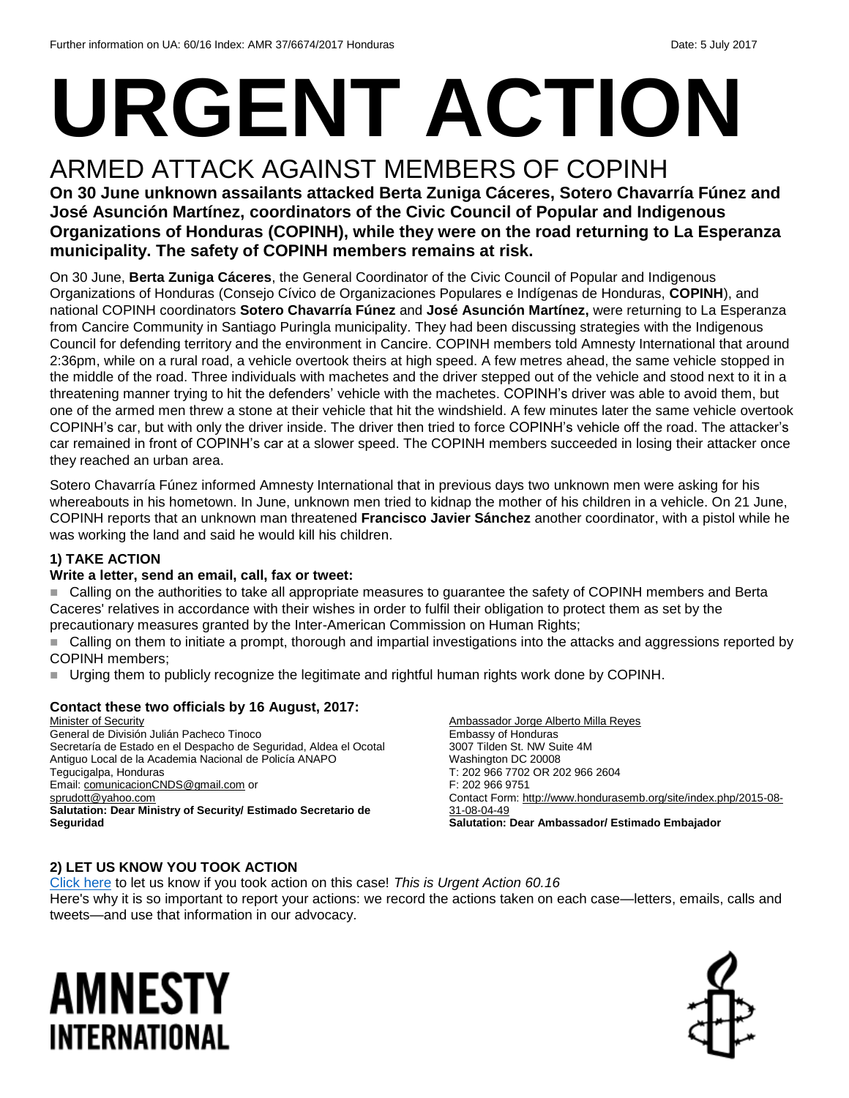# **URGENT ACTION**

## ARMED ATTACK AGAINST MEMBERS OF COPINH

#### **On 30 June unknown assailants attacked Berta Zuniga Cáceres, Sotero Chavarría Fúnez and José Asunción Martínez, coordinators of the Civic Council of Popular and Indigenous Organizations of Honduras (COPINH), while they were on the road returning to La Esperanza municipality. The safety of COPINH members remains at risk.**

On 30 June, **Berta Zuniga Cáceres**, the General Coordinator of the Civic Council of Popular and Indigenous Organizations of Honduras (Consejo Cívico de Organizaciones Populares e Indígenas de Honduras, **COPINH**), and national COPINH coordinators **Sotero Chavarría Fúnez** and **José Asunción Martínez,** were returning to La Esperanza from Cancire Community in Santiago Puringla municipality. They had been discussing strategies with the Indigenous Council for defending territory and the environment in Cancire. COPINH members told Amnesty International that around 2:36pm, while on a rural road, a vehicle overtook theirs at high speed. A few metres ahead, the same vehicle stopped in the middle of the road. Three individuals with machetes and the driver stepped out of the vehicle and stood next to it in a threatening manner trying to hit the defenders' vehicle with the machetes. COPINH's driver was able to avoid them, but one of the armed men threw a stone at their vehicle that hit the windshield. A few minutes later the same vehicle overtook COPINH's car, but with only the driver inside. The driver then tried to force COPINH's vehicle off the road. The attacker's car remained in front of COPINH's car at a slower speed. The COPINH members succeeded in losing their attacker once they reached an urban area.

Sotero Chavarría Fúnez informed Amnesty International that in previous days two unknown men were asking for his whereabouts in his hometown. In June, unknown men tried to kidnap the mother of his children in a vehicle. On 21 June, COPINH reports that an unknown man threatened **Francisco Javier Sánchez** another coordinator, with a pistol while he was working the land and said he would kill his children.

#### **1) TAKE ACTION**

#### **Write a letter, send an email, call, fax or tweet:**

 Calling on the authorities to take all appropriate measures to guarantee the safety of COPINH members and Berta Caceres' relatives in accordance with their wishes in order to fulfil their obligation to protect them as set by the precautionary measures granted by the Inter-American Commission on Human Rights;

 Calling on them to initiate a prompt, thorough and impartial investigations into the attacks and aggressions reported by COPINH members;

Urging them to publicly recognize the legitimate and rightful human rights work done by COPINH.

#### **Contact these two officials by 16 August, 2017:**

Minister of Security General de División Julián Pacheco Tinoco Secretaría de Estado en el Despacho de Seguridad, Aldea el Ocotal Antiguo Local de la Academia Nacional de Policía ANAPO Tegucigalpa, Honduras Email[: comunicacionCNDS@gmail.com](mailto:comunicacionCNDS@gmail.com) or [sprudott@yahoo.com](mailto:sprudott@yahoo.com) **Salutation: Dear Ministry of Security/ Estimado Secretario de Seguridad**

Ambassador Jorge Alberto Milla Reyes Embassy of Honduras 3007 Tilden St. NW Suite 4M Washington DC 20008 T: 202 966 7702 OR 202 966 2604 F: 202 966 9751 Contact Form: [http://www.hondurasemb.org/site/index.php/2015-08-](http://www.hondurasemb.org/site/index.php/2015-08-31-08-04-49) [31-08-04-49](http://www.hondurasemb.org/site/index.php/2015-08-31-08-04-49) **Salutation: Dear Ambassador/ Estimado Embajador**

#### **2) LET US KNOW YOU TOOK ACTION**

[Click here](https://docs.google.com/forms/d/e/1FAIpQLSf3RUspces4lA9Gt7Fp9GiAcojCs6fnfFOTCLli3Su6c3S8ew/viewform) to let us know if you took action on this case! *This is Urgent Action 60.16* Here's why it is so important to report your actions: we record the actions taken on each case—letters, emails, calls and tweets—and use that information in our advocacy.